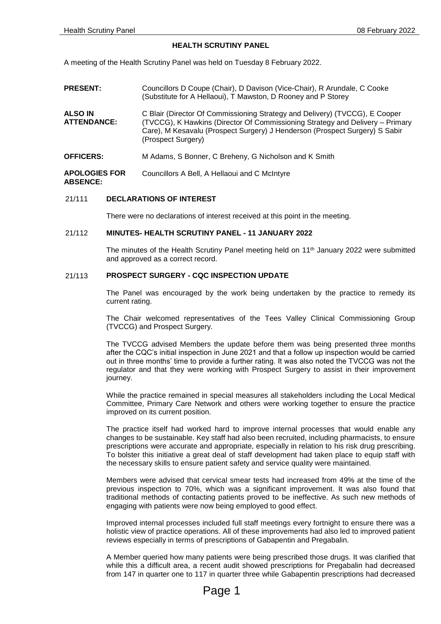### **HEALTH SCRUTINY PANEL**

A meeting of the Health Scrutiny Panel was held on Tuesday 8 February 2022.

| <b>PRESENT:</b>                         | Councillors D Coupe (Chair), D Davison (Vice-Chair), R Arundale, C Cooke<br>(Substitute for A Hellaoui), T Mawston, D Rooney and P Storey                                                                                                                         |
|-----------------------------------------|-------------------------------------------------------------------------------------------------------------------------------------------------------------------------------------------------------------------------------------------------------------------|
| <b>ALSO IN</b><br><b>ATTENDANCE:</b>    | C Blair (Director Of Commissioning Strategy and Delivery) (TVCCG), E Cooper<br>(TVCCG), K Hawkins (Director Of Commissioning Strategy and Delivery - Primary<br>Care), M Kesavalu (Prospect Surgery) J Henderson (Prospect Surgery) S Sabir<br>(Prospect Surgery) |
| <b>OFFICERS:</b>                        | M Adams, S Bonner, C Breheny, G Nicholson and K Smith                                                                                                                                                                                                             |
| <b>APOLOGIES FOR</b><br><b>ABSENCE:</b> | Councillors A Bell, A Hellaoui and C McIntyre                                                                                                                                                                                                                     |

### 21/111 **DECLARATIONS OF INTEREST**

There were no declarations of interest received at this point in the meeting.

#### 21/112 **MINUTES- HEALTH SCRUTINY PANEL - 11 JANUARY 2022**

The minutes of the Health Scrutiny Panel meeting held on 11<sup>th</sup> January 2022 were submitted and approved as a correct record.

### 21/113 **PROSPECT SURGERY - CQC INSPECTION UPDATE**

The Panel was encouraged by the work being undertaken by the practice to remedy its current rating.

The Chair welcomed representatives of the Tees Valley Clinical Commissioning Group (TVCCG) and Prospect Surgery.

The TVCCG advised Members the update before them was being presented three months after the CQC's initial inspection in June 2021 and that a follow up inspection would be carried out in three months' time to provide a further rating. It was also noted the TVCCG was not the regulator and that they were working with Prospect Surgery to assist in their improvement journey.

While the practice remained in special measures all stakeholders including the Local Medical Committee, Primary Care Network and others were working together to ensure the practice improved on its current position.

The practice itself had worked hard to improve internal processes that would enable any changes to be sustainable. Key staff had also been recruited, including pharmacists, to ensure prescriptions were accurate and appropriate, especially in relation to his risk drug prescribing. To bolster this initiative a great deal of staff development had taken place to equip staff with the necessary skills to ensure patient safety and service quality were maintained.

Members were advised that cervical smear tests had increased from 49% at the time of the previous inspection to 70%, which was a significant improvement. It was also found that traditional methods of contacting patients proved to be ineffective. As such new methods of engaging with patients were now being employed to good effect.

Improved internal processes included full staff meetings every fortnight to ensure there was a holistic view of practice operations. All of these improvements had also led to improved patient reviews especially in terms of prescriptions of Gabapentin and Pregabalin.

A Member queried how many patients were being prescribed those drugs. It was clarified that while this a difficult area, a recent audit showed prescriptions for Pregabalin had decreased from 147 in quarter one to 117 in quarter three while Gabapentin prescriptions had decreased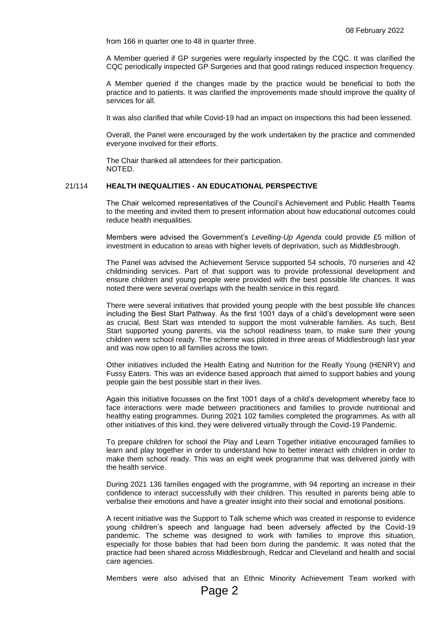from 166 in quarter one to 48 in quarter three.

A Member queried if GP surgeries were regularly inspected by the CQC. It was clarified the CQC periodically inspected GP Surgeries and that good ratings reduced inspection frequency.

A Member queried if the changes made by the practice would be beneficial to both the practice and to patients. It was clarified the improvements made should improve the quality of services for all.

It was also clarified that while Covid-19 had an impact on inspections this had been lessened.

Overall, the Panel were encouraged by the work undertaken by the practice and commended everyone involved for their efforts.

The Chair thanked all attendees for their participation. NOTED.

## 21/114 **HEALTH INEQUALITIES - AN EDUCATIONAL PERSPECTIVE**

The Chair welcomed representatives of the Council's Achievement and Public Health Teams to the meeting and invited them to present information about how educational outcomes could reduce health inequalities.

Members were advised the Government's *Levelling-Up Agenda* could provide £5 million of investment in education to areas with higher levels of deprivation, such as Middlesbrough.

The Panel was advised the Achievement Service supported 54 schools, 70 nurseries and 42 childminding services. Part of that support was to provide professional development and ensure children and young people were provided with the best possible life chances. It was noted there were several overlaps with the health service in this regard.

There were several initiatives that provided young people with the best possible life chances including the Best Start Pathway. As the first 1001 days of a child's development were seen as crucial, Best Start was intended to support the most vulnerable families. As such, Best Start supported young parents, via the school readiness team, to make sure their young children were school ready. The scheme was piloted in three areas of Middlesbrough last year and was now open to all families across the town.

Other initiatives included the Health Eating and Nutrition for the Really Young (HENRY) and Fussy Eaters. This was an evidence based approach that aimed to support babies and young people gain the best possible start in their lives.

Again this initiative focusses on the first 1001 days of a child's development whereby face to face interactions were made between practitioners and families to provide nutritional and healthy eating programmes. During 2021 102 families completed the programmes. As with all other initiatives of this kind, they were delivered virtually through the Covid-19 Pandemic.

To prepare children for school the Play and Learn Together initiative encouraged families to learn and play together in order to understand how to better interact with children in order to make them school ready. This was an eight week programme that was delivered jointly with the health service.

During 2021 136 families engaged with the programme, with 94 reporting an increase in their confidence to interact successfully with their children. This resulted in parents being able to verbalise their emotions and have a greater insight into their social and emotional positions.

A recent initiative was the Support to Talk scheme which was created in response to evidence young children's speech and language had been adversely affected by the Covid-19 pandemic. The scheme was designed to work with families to improve this situation, especially for those babies that had been born during the pandemic. It was noted that the practice had been shared across Middlesbrough, Redcar and Cleveland and health and social care agencies.

Members were also advised that an Ethnic Minority Achievement Team worked with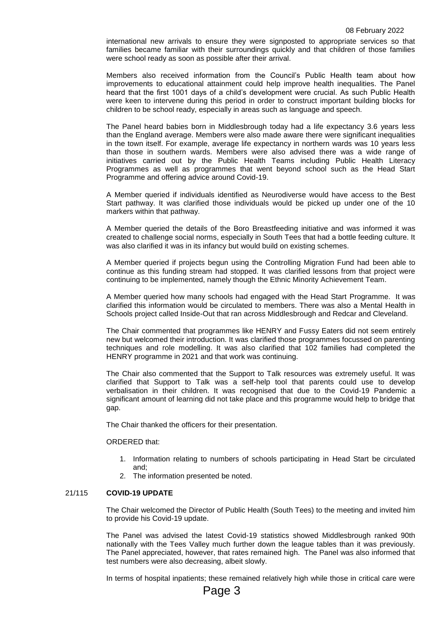international new arrivals to ensure they were signposted to appropriate services so that families became familiar with their surroundings quickly and that children of those families were school ready as soon as possible after their arrival.

Members also received information from the Council's Public Health team about how improvements to educational attainment could help improve health inequalities. The Panel heard that the first 1001 days of a child's development were crucial. As such Public Health were keen to intervene during this period in order to construct important building blocks for children to be school ready, especially in areas such as language and speech.

The Panel heard babies born in Middlesbrough today had a life expectancy 3.6 years less than the England average. Members were also made aware there were significant inequalities in the town itself. For example, average life expectancy in northern wards was 10 years less than those in southern wards. Members were also advised there was a wide range of initiatives carried out by the Public Health Teams including Public Health Literacy Programmes as well as programmes that went beyond school such as the Head Start Programme and offering advice around Covid-19.

A Member queried if individuals identified as Neurodiverse would have access to the Best Start pathway. It was clarified those individuals would be picked up under one of the 10 markers within that pathway.

A Member queried the details of the Boro Breastfeeding initiative and was informed it was created to challenge social norms, especially in South Tees that had a bottle feeding culture. It was also clarified it was in its infancy but would build on existing schemes.

A Member queried if projects begun using the Controlling Migration Fund had been able to continue as this funding stream had stopped. It was clarified lessons from that project were continuing to be implemented, namely though the Ethnic Minority Achievement Team.

A Member queried how many schools had engaged with the Head Start Programme. It was clarified this information would be circulated to members. There was also a Mental Health in Schools project called Inside-Out that ran across Middlesbrough and Redcar and Cleveland.

The Chair commented that programmes like HENRY and Fussy Eaters did not seem entirely new but welcomed their introduction. It was clarified those programmes focussed on parenting techniques and role modelling. It was also clarified that 102 families had completed the HENRY programme in 2021 and that work was continuing.

The Chair also commented that the Support to Talk resources was extremely useful. It was clarified that Support to Talk was a self-help tool that parents could use to develop verbalisation in their children. It was recognised that due to the Covid-19 Pandemic a significant amount of learning did not take place and this programme would help to bridge that gap.

The Chair thanked the officers for their presentation.

### ORDERED that:

- 1. Information relating to numbers of schools participating in Head Start be circulated and;
- 2. The information presented be noted.

#### 21/115 **COVID-19 UPDATE**

The Chair welcomed the Director of Public Health (South Tees) to the meeting and invited him to provide his Covid-19 update.

The Panel was advised the latest Covid-19 statistics showed Middlesbrough ranked 90th nationally with the Tees Valley much further down the league tables than it was previously. The Panel appreciated, however, that rates remained high. The Panel was also informed that test numbers were also decreasing, albeit slowly.

In terms of hospital inpatients; these remained relatively high while those in critical care were